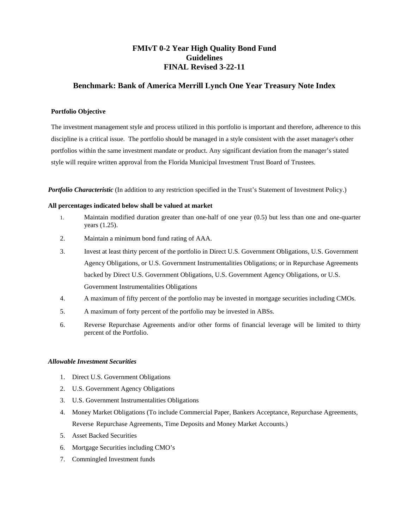# **FMIvT 0-2 Year High Quality Bond Fund Guidelines FINAL Revised 3-22-11**

## **Benchmark: Bank of America Merrill Lynch One Year Treasury Note Index**

### **Portfolio Objective**

The investment management style and process utilized in this portfolio is important and therefore, adherence to this discipline is a critical issue. The portfolio should be managed in a style consistent with the asset manager's other portfolios within the same investment mandate or product. Any significant deviation from the manager's stated style will require written approval from the Florida Municipal Investment Trust Board of Trustees.

*Portfolio Characteristic* (In addition to any restriction specified in the Trust's Statement of Investment Policy.)

#### **All percentages indicated below shall be valued at market**

- 1. Maintain modified duration greater than one-half of one year (0.5) but less than one and one-quarter years (1.25).
- 2. Maintain a minimum bond fund rating of AAA.
- 3. Invest at least thirty percent of the portfolio in Direct U.S. Government Obligations, U.S. Government Agency Obligations, or U.S. Government Instrumentalities Obligations; or in Repurchase Agreements backed by Direct U.S. Government Obligations, U.S. Government Agency Obligations, or U.S. Government Instrumentalities Obligations
- 4. A maximum of fifty percent of the portfolio may be invested in mortgage securities including CMOs.
- 5. A maximum of forty percent of the portfolio may be invested in ABSs.
- 6. Reverse Repurchase Agreements and/or other forms of financial leverage will be limited to thirty percent of the Portfolio.

#### *Allowable Investment Securities*

- 1. Direct U.S. Government Obligations
- 2. U.S. Government Agency Obligations
- 3. U.S. Government Instrumentalities Obligations
- 4. Money Market Obligations (To include Commercial Paper, Bankers Acceptance, Repurchase Agreements, Reverse Repurchase Agreements, Time Deposits and Money Market Accounts.)
- 5. Asset Backed Securities
- 6. Mortgage Securities including CMO's
- 7. Commingled Investment funds